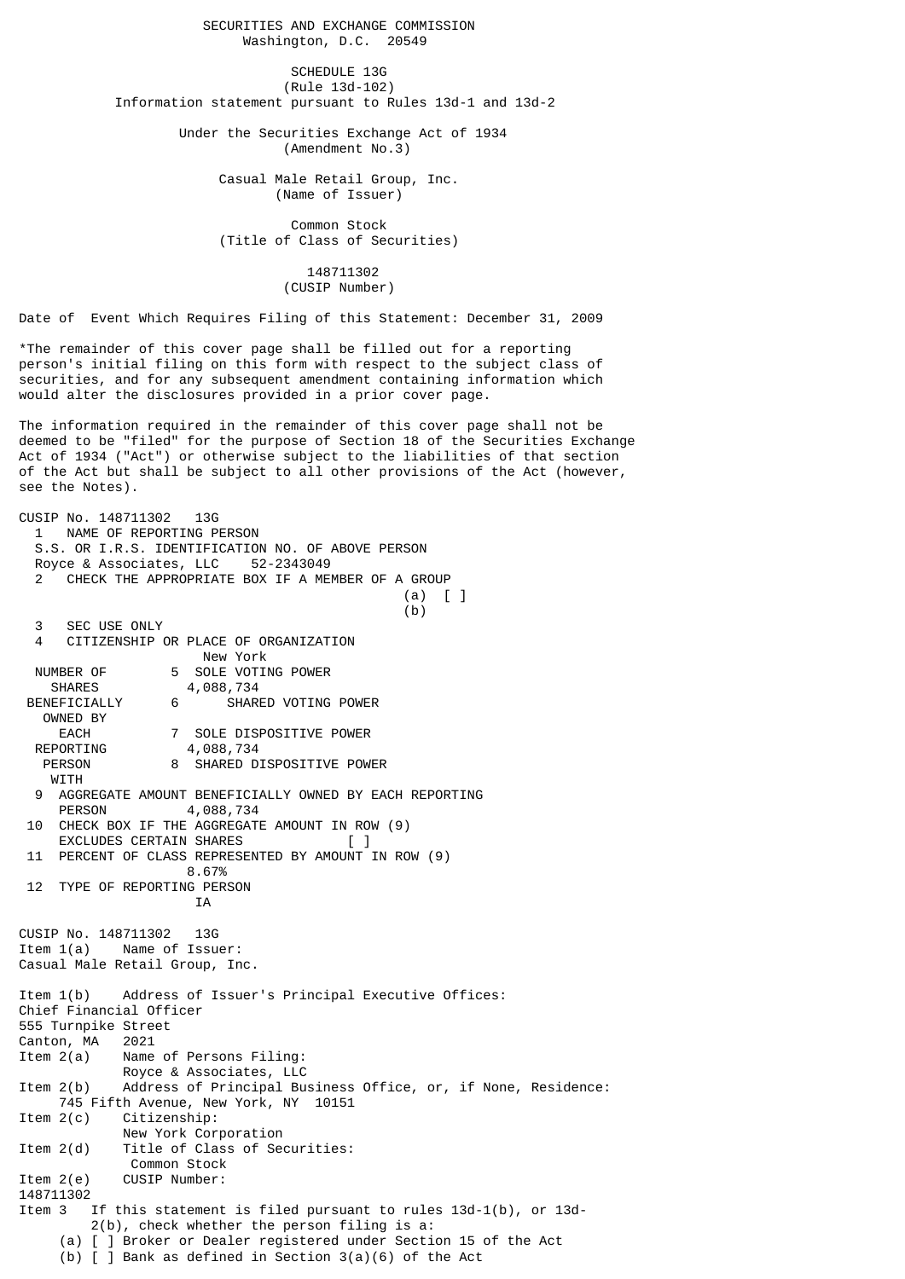SECURITIES AND EXCHANGE COMMISSION Washington, D.C. 20549

SCHEDULE 13G (Rule 13d-102) Information statement pursuant to Rules 13d-1 and 13d-2

> Under the Securities Exchange Act of 1934 (Amendment No.3)

> > Casual Male Retail Group, Inc. (Name of Issuer)

 Common Stock (Title of Class of Securities)

> 148711302 (CUSIP Number)

Date of Event Which Requires Filing of this Statement: December 31, 2009

\*The remainder of this cover page shall be filled out for a reporting person's initial filing on this form with respect to the subject class of securities, and for any subsequent amendment containing information which would alter the disclosures provided in a prior cover page.

The information required in the remainder of this cover page shall not be deemed to be "filed" for the purpose of Section 18 of the Securities Exchange Act of 1934 ("Act") or otherwise subject to the liabilities of that section of the Act but shall be subject to all other provisions of the Act (however, see the Notes).

CUSIP No. 148711302 13G 1 NAME OF REPORTING PERSON S.S. OR I.R.S. IDENTIFICATION NO. OF ABOVE PERSON Royce & Associates, LLC 52-2343049 CHECK THE APPROPRIATE BOX IF A MEMBER OF A GROUP (a) [ ]  $(b)$  3 SEC USE ONLY 4 CITIZENSHIP OR PLACE OF ORGANIZATION New York NUMBER OF 5 SOLE VOTING POWER<br>SHARES 4,088,734 4,088,734 BENEFICIALLY 6 SHARED VOTING POWER OWNED BY EACH 7 SOLE DISPOSITIVE POWER<br>REPORTING 4,088,734 REPORTING 4,088,734 PERSON 8 SHARED DISPOSITIVE POWER **WITH** AGGREGATE AMOUNT BENEFICIALLY OWNED BY EACH REPORTING<br>PERSON 4 088 734 4,088,734 10 CHECK BOX IF THE AGGREGATE AMOUNT IN ROW (9) EXCLUDES CERTAIN SHARES 11 PERCENT OF CLASS REPRESENTED BY AMOUNT IN ROW (9) 8.67% 12 TYPE OF REPORTING PERSON IA CUSIP No. 148711302 13G Item 1(a) Name of Issuer: Casual Male Retail Group, Inc. Item 1(b) Address of Issuer's Principal Executive Offices: Chief Financial Officer 555 Turnpike Street Canton, MA 2021<br>Item 2(a) Name Name of Persons Filing: Royce & Associates, LLC<br>Item 2(b) Address of Principal Bu Address of Principal Business Office, or, if None, Residence: 745 Fifth Avenue, New York, NY 10151 Item 2(c) Citizenship: New York Corporation Item 2(d) Title of Class of Securities: Common Stock Item 2(e) CUSIP Number: 148711302 Item 3 If this statement is filed pursuant to rules 13d-1(b), or 13d- 2(b), check whether the person filing is a: (a) [ ] Broker or Dealer registered under Section 15 of the Act (b)  $\overline{1}$  Bank as defined in Section 3(a)(6) of the Act